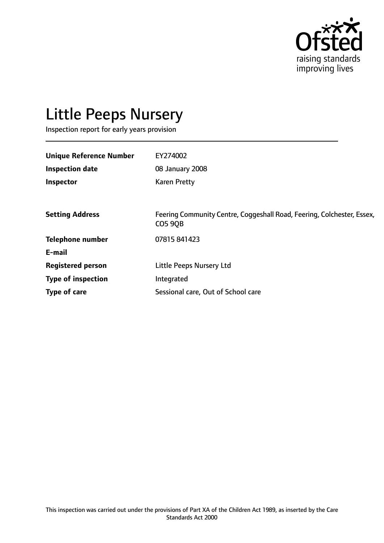

# Little Peeps Nursery

Inspection report for early years provision

| EY274002                                                                                 |
|------------------------------------------------------------------------------------------|
| 08 January 2008                                                                          |
| <b>Karen Pretty</b>                                                                      |
|                                                                                          |
| Feering Community Centre, Coggeshall Road, Feering, Colchester, Essex,<br><b>CO5 90B</b> |
| 07815 841423                                                                             |
|                                                                                          |
| Little Peeps Nursery Ltd                                                                 |
| Integrated                                                                               |
| Sessional care, Out of School care                                                       |
|                                                                                          |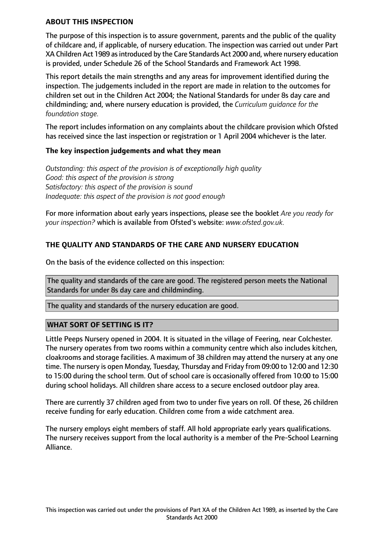#### **ABOUT THIS INSPECTION**

The purpose of this inspection is to assure government, parents and the public of the quality of childcare and, if applicable, of nursery education. The inspection was carried out under Part XA Children Act 1989 as introduced by the Care Standards Act 2000 and, where nursery education is provided, under Schedule 26 of the School Standards and Framework Act 1998.

This report details the main strengths and any areas for improvement identified during the inspection. The judgements included in the report are made in relation to the outcomes for children set out in the Children Act 2004; the National Standards for under 8s day care and childminding; and, where nursery education is provided, the *Curriculum guidance for the foundation stage.*

The report includes information on any complaints about the childcare provision which Ofsted has received since the last inspection or registration or 1 April 2004 whichever is the later.

## **The key inspection judgements and what they mean**

*Outstanding: this aspect of the provision is of exceptionally high quality Good: this aspect of the provision is strong Satisfactory: this aspect of the provision is sound Inadequate: this aspect of the provision is not good enough*

For more information about early years inspections, please see the booklet *Are you ready for your inspection?* which is available from Ofsted's website: *www.ofsted.gov.uk.*

## **THE QUALITY AND STANDARDS OF THE CARE AND NURSERY EDUCATION**

On the basis of the evidence collected on this inspection:

The quality and standards of the care are good. The registered person meets the National Standards for under 8s day care and childminding.

The quality and standards of the nursery education are good.

## **WHAT SORT OF SETTING IS IT?**

Little Peeps Nursery opened in 2004. It is situated in the village of Feering, near Colchester. The nursery operates from two rooms within a community centre which also includes kitchen, cloakrooms and storage facilities. A maximum of 38 children may attend the nursery at any one time. The nursery is open Monday, Tuesday, Thursday and Friday from 09:00 to 12:00 and 12:30 to 15:00 during the school term. Out of school care is occasionally offered from 10:00 to 15:00 during school holidays. All children share access to a secure enclosed outdoor play area.

There are currently 37 children aged from two to under five years on roll. Of these, 26 children receive funding for early education. Children come from a wide catchment area.

The nursery employs eight members of staff. All hold appropriate early years qualifications. The nursery receives support from the local authority is a member of the Pre-School Learning Alliance.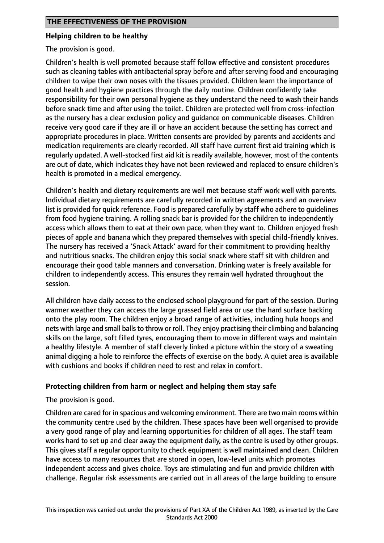#### **Helping children to be healthy**

The provision is good.

Children's health is well promoted because staff follow effective and consistent procedures such as cleaning tables with antibacterial spray before and after serving food and encouraging children to wipe their own noses with the tissues provided. Children learn the importance of good health and hygiene practices through the daily routine. Children confidently take responsibility for their own personal hygiene as they understand the need to wash their hands before snack time and after using the toilet. Children are protected well from cross-infection as the nursery has a clear exclusion policy and guidance on communicable diseases. Children receive very good care if they are ill or have an accident because the setting has correct and appropriate procedures in place. Written consents are provided by parents and accidents and medication requirements are clearly recorded. All staff have current first aid training which is regularly updated. A well-stocked first aid kit is readily available, however, most of the contents are out of date, which indicates they have not been reviewed and replaced to ensure children's health is promoted in a medical emergency.

Children's health and dietary requirements are well met because staff work well with parents. Individual dietary requirements are carefully recorded in written agreements and an overview list is provided for quick reference. Food is prepared carefully by staff who adhere to guidelines from food hygiene training. A rolling snack bar is provided for the children to independently access which allows them to eat at their own pace, when they want to. Children enjoyed fresh pieces of apple and banana which they prepared themselves with special child-friendly knives. The nursery has received a 'Snack Attack' award for their commitment to providing healthy and nutritious snacks. The children enjoy this social snack where staff sit with children and encourage their good table manners and conversation. Drinking water is freely available for children to independently access. This ensures they remain well hydrated throughout the session.

All children have daily access to the enclosed school playground for part of the session. During warmer weather they can access the large grassed field area or use the hard surface backing onto the play room. The children enjoy a broad range of activities, including hula hoops and nets with large and small balls to throw or roll. They enjoy practising their climbing and balancing skills on the large, soft filled tyres, encouraging them to move in different ways and maintain a healthy lifestyle. A member of staff cleverly linked a picture within the story of a sweating animal digging a hole to reinforce the effects of exercise on the body. A quiet area is available with cushions and books if children need to rest and relax in comfort.

## **Protecting children from harm or neglect and helping them stay safe**

The provision is good.

Children are cared for in spacious and welcoming environment. There are two main rooms within the community centre used by the children. These spaces have been well organised to provide a very good range of play and learning opportunities for children of all ages. The staff team works hard to set up and clear away the equipment daily, as the centre is used by other groups. This gives staff a regular opportunity to check equipment is well maintained and clean. Children have access to many resources that are stored in open, low-level units which promotes independent access and gives choice. Toys are stimulating and fun and provide children with challenge. Regular risk assessments are carried out in all areas of the large building to ensure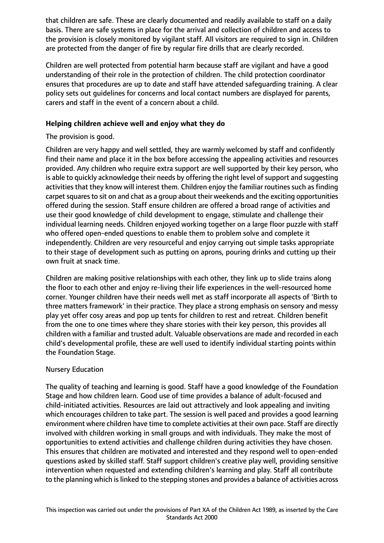that children are safe. These are clearly documented and readily available to staff on a daily basis. There are safe systems in place for the arrival and collection of children and access to the provision is closely monitored by vigilant staff. All visitors are required to sign in. Children are protected from the danger of fire by regular fire drills that are clearly recorded.

Children are well protected from potential harm because staff are vigilant and have a good understanding of their role in the protection of children. The child protection coordinator ensures that procedures are up to date and staff have attended safeguarding training. A clear policy sets out guidelines for concerns and local contact numbers are displayed for parents, carers and staff in the event of a concern about a child.

## **Helping children achieve well and enjoy what they do**

# The provision is good.

Children are very happy and well settled, they are warmly welcomed by staff and confidently find their name and place it in the box before accessing the appealing activities and resources provided. Any children who require extra support are well supported by their key person, who is able to quickly acknowledge their needs by offering the right level of support and suggesting activities that they know will interest them. Children enjoy the familiar routines such as finding carpet squares to sit on and chat as a group about their weekends and the exciting opportunities offered during the session. Staff ensure children are offered a broad range of activities and use their good knowledge of child development to engage, stimulate and challenge their individual learning needs. Children enjoyed working together on a large floor puzzle with staff who offered open-ended questions to enable them to problem solve and complete it independently. Children are very resourceful and enjoy carrying out simple tasks appropriate to their stage of development such as putting on aprons, pouring drinks and cutting up their own fruit at snack time.

Children are making positive relationships with each other, they link up to slide trains along the floor to each other and enjoy re-living their life experiences in the well-resourced home corner. Younger children have their needs well met as staff incorporate all aspects of 'Birth to three matters framework' in their practice. They place a strong emphasis on sensory and messy play yet offer cosy areas and pop up tents for children to rest and retreat. Children benefit from the one to one times where they share stories with their key person, this provides all children with a familiar and trusted adult. Valuable observations are made and recorded in each child's developmental profile, these are well used to identify individual starting points within the Foundation Stage.

# Nursery Education

The quality of teaching and learning is good. Staff have a good knowledge of the Foundation Stage and how children learn. Good use of time provides a balance of adult-focused and child-initiated activities. Resources are laid out attractively and look appealing and inviting which encourages children to take part. The session is well paced and provides a good learning environment where children have time to complete activities at their own pace. Staff are directly involved with children working in small groups and with individuals. They make the most of opportunities to extend activities and challenge children during activities they have chosen. This ensures that children are motivated and interested and they respond well to open-ended questions asked by skilled staff. Staff support children's creative play well, providing sensitive intervention when requested and extending children's learning and play. Staff all contribute to the planning which is linked to the stepping stones and provides a balance of activities across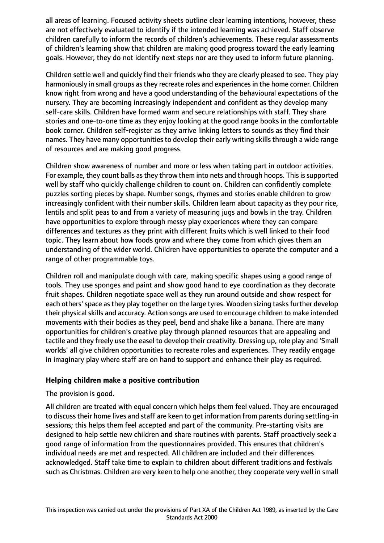all areas of learning. Focused activity sheets outline clear learning intentions, however, these are not effectively evaluated to identify if the intended learning was achieved. Staff observe children carefully to inform the records of children's achievements. These regular assessments of children's learning show that children are making good progress toward the early learning goals. However, they do not identify next steps nor are they used to inform future planning.

Children settle well and quickly find their friends who they are clearly pleased to see. They play harmoniously in small groups as they recreate roles and experiences in the home corner. Children know right from wrong and have a good understanding of the behavioural expectations of the nursery. They are becoming increasingly independent and confident as they develop many self-care skills. Children have formed warm and secure relationships with staff. They share stories and one-to-one time as they enjoy looking at the good range books in the comfortable book corner. Children self-register as they arrive linking letters to sounds as they find their names. They have many opportunities to develop their early writing skills through a wide range of resources and are making good progress.

Children show awareness of number and more or less when taking part in outdoor activities. For example, they count balls as they throw them into nets and through hoops. This is supported well by staff who quickly challenge children to count on. Children can confidently complete puzzles sorting pieces by shape. Number songs, rhymes and stories enable children to grow increasingly confident with their number skills. Children learn about capacity as they pour rice, lentils and split peas to and from a variety of measuring jugs and bowls in the tray. Children have opportunities to explore through messy play experiences where they can compare differences and textures as they print with different fruits which is well linked to their food topic. They learn about how foods grow and where they come from which gives them an understanding of the wider world. Children have opportunities to operate the computer and a range of other programmable toys.

Children roll and manipulate dough with care, making specific shapes using a good range of tools. They use sponges and paint and show good hand to eye coordination as they decorate fruit shapes. Children negotiate space well as they run around outside and show respect for each others' space as they play together on the large tyres. Wooden sizing tasks further develop their physical skills and accuracy. Action songs are used to encourage children to make intended movements with their bodies as they peel, bend and shake like a banana. There are many opportunities for children's creative play through planned resources that are appealing and tactile and they freely use the easel to develop their creativity. Dressing up, role play and 'Small worlds' all give children opportunities to recreate roles and experiences. They readily engage in imaginary play where staff are on hand to support and enhance their play as required.

## **Helping children make a positive contribution**

The provision is good.

All children are treated with equal concern which helps them feel valued. They are encouraged to discusstheir home lives and staff are keen to get information from parents during settling-in sessions; this helps them feel accepted and part of the community. Pre-starting visits are designed to help settle new children and share routines with parents. Staff proactively seek a good range of information from the questionnaires provided. This ensures that children's individual needs are met and respected. All children are included and their differences acknowledged. Staff take time to explain to children about different traditions and festivals such as Christmas. Children are very keen to help one another, they cooperate very well in small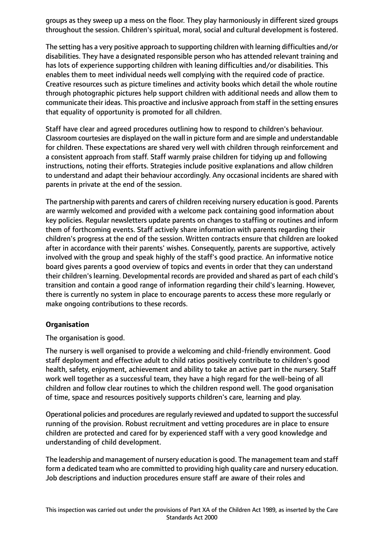groups as they sweep up a mess on the floor. They play harmoniously in different sized groups throughout the session. Children's spiritual, moral, social and cultural development is fostered.

The setting has a very positive approach to supporting children with learning difficulties and/or disabilities. They have a designated responsible person who has attended relevant training and has lots of experience supporting children with leaning difficulties and/or disabilities. This enables them to meet individual needs well complying with the required code of practice. Creative resources such as picture timelines and activity books which detail the whole routine through photographic pictures help support children with additional needs and allow them to communicate their ideas. This proactive and inclusive approach from staff in the setting ensures that equality of opportunity is promoted for all children.

Staff have clear and agreed procedures outlining how to respond to children's behaviour. Classroom courtesies are displayed on the wall in picture form and are simple and understandable for children. These expectations are shared very well with children through reinforcement and a consistent approach from staff. Staff warmly praise children for tidying up and following instructions, noting their efforts. Strategies include positive explanations and allow children to understand and adapt their behaviour accordingly. Any occasional incidents are shared with parents in private at the end of the session.

The partnership with parents and carers of children receiving nursery education is good. Parents are warmly welcomed and provided with a welcome pack containing good information about key policies. Regular newsletters update parents on changes to staffing or routines and inform them of forthcoming events. Staff actively share information with parents regarding their children's progress at the end of the session. Written contracts ensure that children are looked after in accordance with their parents' wishes. Consequently, parents are supportive, actively involved with the group and speak highly of the staff's good practice. An informative notice board gives parents a good overview of topics and events in order that they can understand their children's learning. Developmental records are provided and shared as part of each child's transition and contain a good range of information regarding their child's learning. However, there is currently no system in place to encourage parents to access these more regularly or make ongoing contributions to these records.

## **Organisation**

The organisation is good.

The nursery is well organised to provide a welcoming and child-friendly environment. Good staff deployment and effective adult to child ratios positively contribute to children's good health, safety, enjoyment, achievement and ability to take an active part in the nursery. Staff work well together as a successful team, they have a high regard for the well-being of all children and follow clear routines to which the children respond well. The good organisation of time, space and resources positively supports children's care, learning and play.

Operational policies and procedures are regularly reviewed and updated to support the successful running of the provision. Robust recruitment and vetting procedures are in place to ensure children are protected and cared for by experienced staff with a very good knowledge and understanding of child development.

The leadership and management of nursery education is good. The management team and staff form a dedicated team who are committed to providing high quality care and nursery education. Job descriptions and induction procedures ensure staff are aware of their roles and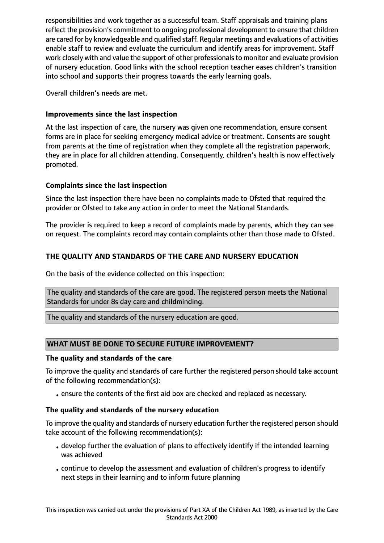responsibilities and work together as a successful team. Staff appraisals and training plans reflect the provision's commitment to ongoing professional development to ensure that children are cared for by knowledgeable and qualified staff. Regular meetings and evaluations of activities enable staff to review and evaluate the curriculum and identify areas for improvement. Staff work closely with and value the support of other professionalsto monitor and evaluate provision of nursery education. Good links with the school reception teacher eases children's transition into school and supports their progress towards the early learning goals.

Overall children's needs are met.

## **Improvements since the last inspection**

At the last inspection of care, the nursery was given one recommendation, ensure consent forms are in place for seeking emergency medical advice or treatment. Consents are sought from parents at the time of registration when they complete all the registration paperwork, they are in place for all children attending. Consequently, children's health is now effectively promoted.

## **Complaints since the last inspection**

Since the last inspection there have been no complaints made to Ofsted that required the provider or Ofsted to take any action in order to meet the National Standards.

The provider is required to keep a record of complaints made by parents, which they can see on request. The complaints record may contain complaints other than those made to Ofsted.

# **THE QUALITY AND STANDARDS OF THE CARE AND NURSERY EDUCATION**

On the basis of the evidence collected on this inspection:

The quality and standards of the care are good. The registered person meets the National Standards for under 8s day care and childminding.

The quality and standards of the nursery education are good.

## **WHAT MUST BE DONE TO SECURE FUTURE IMPROVEMENT?**

## **The quality and standards of the care**

To improve the quality and standards of care further the registered person should take account of the following recommendation(s):

•ensure the contents of the first aid box are checked and replaced as necessary.

# **The quality and standards of the nursery education**

To improve the quality and standards of nursery education further the registered person should take account of the following recommendation(s):

- develop further the evaluation of plans to effectively identify if the intended learning was achieved
- •continue to develop the assessment and evaluation of children's progress to identify next steps in their learning and to inform future planning